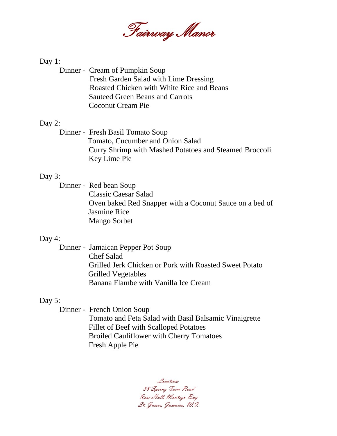

#### Day 1:

Dinner - Cream of Pumpkin Soup Fresh Garden Salad with Lime Dressing Roasted Chicken with White Rice and Beans Sauteed Green Beans and Carrots Coconut Cream Pie

#### Day 2:

Dinner - Fresh Basil Tomato Soup Tomato, Cucumber and Onion Salad Curry Shrimp with Mashed Potatoes and Steamed Broccoli Key Lime Pie

#### Day 3:

Dinner - Red bean Soup Classic Caesar Salad Oven baked Red Snapper with a Coconut Sauce on a bed of Jasmine Rice Mango Sorbet

#### Day 4:

Dinner - Jamaican Pepper Pot Soup Chef Salad Grilled Jerk Chicken or Pork with Roasted Sweet Potato Grilled Vegetables Banana Flambe with Vanilla Ice Cream

#### Day 5:

Dinner - French Onion Soup Tomato and Feta Salad with Basil Balsamic Vinaigrette Fillet of Beef with Scalloped Potatoes Broiled Cauliflower with Cherry Tomatoes Fresh Apple Pie

Location: 38 Spring Farm Road Rose Hall, Montego Bay St. James, Jamaica, W.I.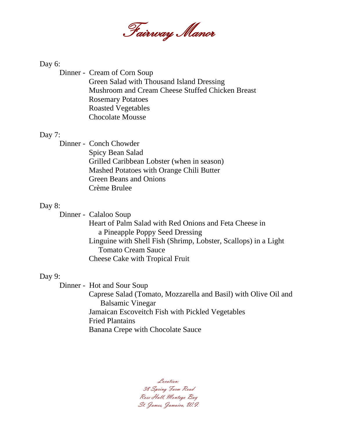

Day 6:

Dinner - Cream of Corn Soup Green Salad with Thousand Island Dressing Mushroom and Cream Cheese Stuffed Chicken Breast Rosemary Potatoes Roasted Vegetables Chocolate Mousse

#### Day 7:

Dinner - Conch Chowder Spicy Bean Salad Grilled Caribbean Lobster (when in season) Mashed Potatoes with Orange Chili Butter Green Beans and Onions Crème Brulee

#### Day 8:

Dinner - Calaloo Soup

 Heart of Palm Salad with Red Onions and Feta Cheese in a Pineapple Poppy Seed Dressing Linguine with Shell Fish (Shrimp, Lobster, Scallops) in a Light Tomato Cream Sauce Cheese Cake with Tropical Fruit

#### Day 9:

Dinner - Hot and Sour Soup

 Caprese Salad (Tomato, Mozzarella and Basil) with Olive Oil and Balsamic Vinegar Jamaican Escoveitch Fish with Pickled Vegetables Fried Plantains Banana Crepe with Chocolate Sauce

Location: 38 Spring Farm Road Rose Hall, Montego Bay St. James, Jamaica, W.I.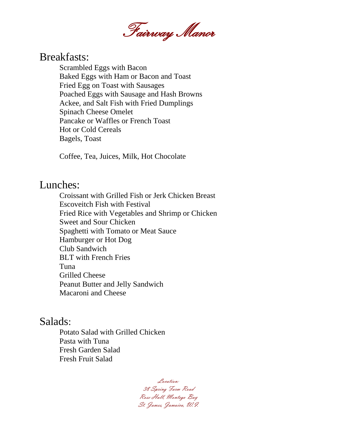

## Breakfasts:

Scrambled Eggs with Bacon Baked Eggs with Ham or Bacon and Toast Fried Egg on Toast with Sausages Poached Eggs with Sausage and Hash Browns Ackee, and Salt Fish with Fried Dumplings Spinach Cheese Omelet Pancake or Waffles or French Toast Hot or Cold Cereals Bagels, Toast

Coffee, Tea, Juices, Milk, Hot Chocolate

## Lunches:

Croissant with Grilled Fish or Jerk Chicken Breast Escoveitch Fish with Festival Fried Rice with Vegetables and Shrimp or Chicken Sweet and Sour Chicken Spaghetti with Tomato or Meat Sauce Hamburger or Hot Dog Club Sandwich BLT with French Fries Tuna Grilled Cheese Peanut Butter and Jelly Sandwich Macaroni and Cheese

## Salads:

Potato Salad with Grilled Chicken Pasta with Tuna Fresh Garden Salad Fresh Fruit Salad

Location: 38 Spring Farm Road Rose Hall, Montego Bay St. James, Jamaica, W.I.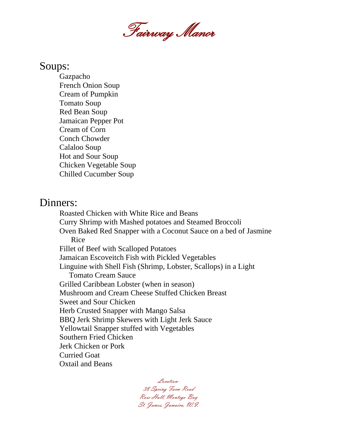

### Soups:

Gazpacho French Onion Soup Cream of Pumpkin Tomato Soup Red Bean Soup Jamaican Pepper Pot Cream of Corn Conch Chowder Calaloo Soup Hot and Sour Soup Chicken Vegetable Soup Chilled Cucumber Soup

## Dinners:

Roasted Chicken with White Rice and Beans Curry Shrimp with Mashed potatoes and Steamed Broccoli Oven Baked Red Snapper with a Coconut Sauce on a bed of Jasmine Rice Fillet of Beef with Scalloped Potatoes Jamaican Escoveitch Fish with Pickled Vegetables Linguine with Shell Fish (Shrimp, Lobster, Scallops) in a Light Tomato Cream Sauce Grilled Caribbean Lobster (when in season) Mushroom and Cream Cheese Stuffed Chicken Breast Sweet and Sour Chicken Herb Crusted Snapper with Mango Salsa BBQ Jerk Shrimp Skewers with Light Jerk Sauce Yellowtail Snapper stuffed with Vegetables Southern Fried Chicken Jerk Chicken or Pork Curried Goat Oxtail and Beans

> Location: 38 Spring Farm Road Rose Hall, Montego Bay St. James, Jamaica, W.I.